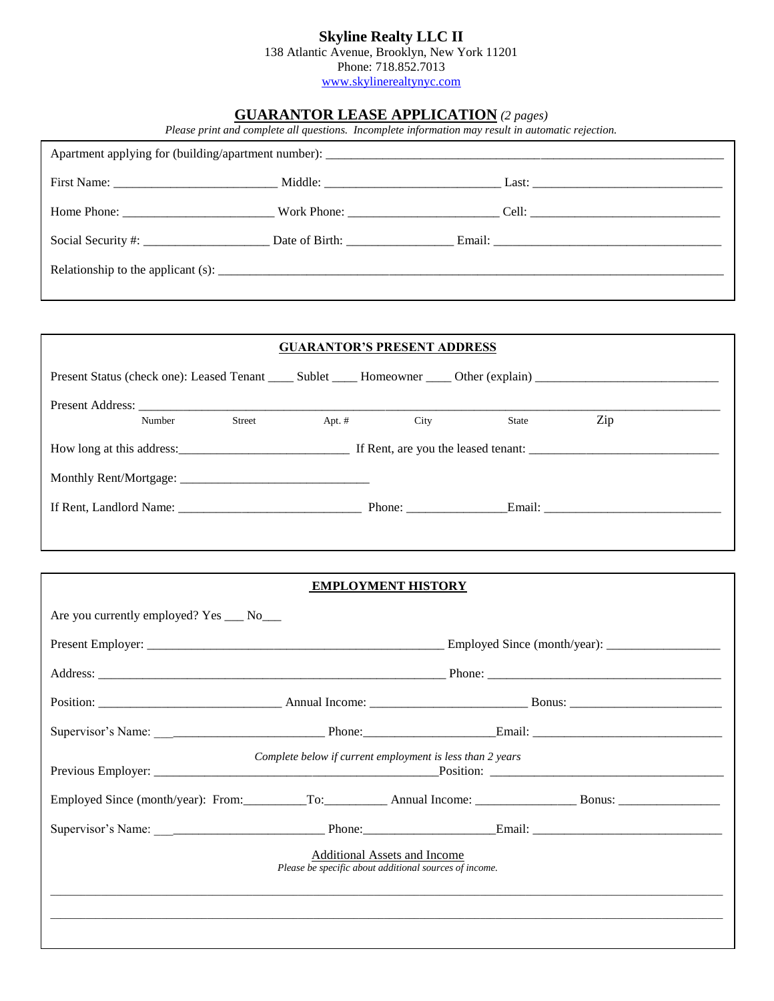## **Skyline Realty LLC II**

138 Atlantic Avenue, Brooklyn, New York 11201

Phone: 718.852.7013 [www.skylinerealtynyc.com](http://www.skylinerealtynyc.com/)

## **GUARANTOR LEASE APPLICATION** *(2 pages)*

*Please print and complete all questions. Incomplete information may result in automatic rejection.*

|                                           | <b>GUARANTOR'S PRESENT ADDRESS</b>                                                            |               |     |  |
|-------------------------------------------|-----------------------------------------------------------------------------------------------|---------------|-----|--|
|                                           |                                                                                               |               |     |  |
|                                           |                                                                                               |               |     |  |
| Street<br>Number                          | Apt. $#$                                                                                      | City<br>State | Zip |  |
|                                           |                                                                                               |               |     |  |
|                                           |                                                                                               |               |     |  |
|                                           |                                                                                               |               |     |  |
|                                           |                                                                                               |               |     |  |
|                                           |                                                                                               |               |     |  |
|                                           | <b>EMPLOYMENT HISTORY</b>                                                                     |               |     |  |
| Are you currently employed? Yes ___ No___ |                                                                                               |               |     |  |
|                                           |                                                                                               |               |     |  |
|                                           |                                                                                               |               |     |  |
|                                           |                                                                                               |               |     |  |
|                                           |                                                                                               |               |     |  |
|                                           | Complete below if current employment is less than 2 years                                     |               |     |  |
|                                           |                                                                                               |               |     |  |
|                                           |                                                                                               |               |     |  |
|                                           | <b>Additional Assets and Income</b><br>Please be specific about additional sources of income. |               |     |  |
|                                           |                                                                                               |               |     |  |
|                                           |                                                                                               |               |     |  |